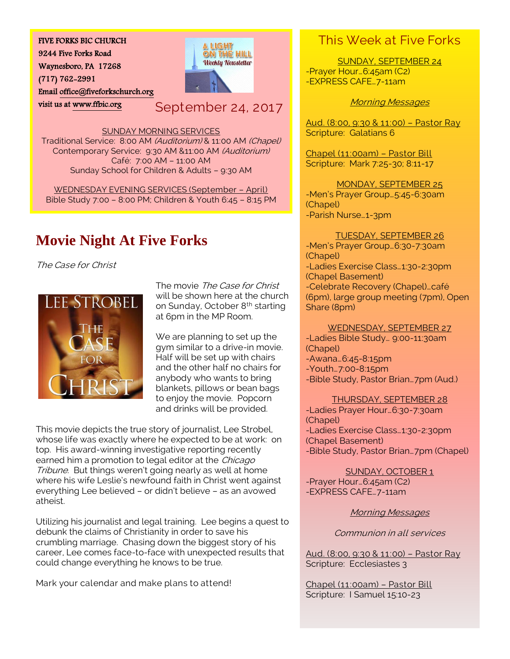#### FIVE FORKS BIC CHURCH

9244 Five Forks Road

Waynesboro, PA 17268

(717) 762-2991

Emai[l office@fiveforkschurch.org](mailto:office@fiveforkschurch.org) 

visit us at [www.ffbic.org](http://www.ffbic.org/) 

A LIGHI ON THE HILL **Weekly Newsletter** 

September 24, 2017

SUNDAY MORNING SERVICES

Traditional Service: 8:00 AM (Auditorium) & 11:00 AM (Chapel) Contemporary Service: 9:30 AM &11:00 AM (Auditorium) Café: 7:00 AM – 11:00 AM Sunday School for Children & Adults – 9:30 AM

WEDNESDAY EVENING SERVICES (September – April) Bible Study 7:00 – 8:00 PM; Children & Youth 6:45 – 8:15 PM

# **Movie Night At Five Forks**

The Case for Christ



The movie The Case for Christ will be shown here at the church on Sunday, October 8<sup>th</sup> starting at 6pm in the MP Room.

We are planning to set up the gym similar to a drive-in movie. Half will be set up with chairs and the other half no chairs for anybody who wants to bring blankets, pillows or bean bags to enjoy the movie. Popcorn and drinks will be provided.

This movie depicts the true story of journalist, Lee Strobel, whose life was exactly where he expected to be at work: on top. His award-winning investigative reporting recently earned him a promotion to legal editor at the Chicago Tribune. But things weren't going nearly as well at home where his wife Leslie's newfound faith in Christ went against everything Lee believed – or didn't believe – as an avowed atheist.

Utilizing his journalist and legal training. Lee begins a quest to debunk the claims of Christianity in order to save his crumbling marriage. Chasing down the biggest story of his career, Lee comes face-to-face with unexpected results that could change everything he knows to be true.

Mark your calendar and make plans to attend!

## This Week at Five Forks

SUNDAY, SEPTEMBER 24 -Prayer Hour…6:45am (C2) -EXPRESS CAFE…7-11am

#### Morning Messages

Aud. (8:00, 9:30 & 11:00) – Pastor Ray Scripture: Galatians 6

Chapel (11:00am) – Pastor Bill Scripture: Mark 7:25-30; 8:11-17

MONDAY, SEPTEMBER 25 -Men's Prayer Group…5:45-6:30am (Chapel) -Parish Nurse…1-3pm

#### TUESDAY, SEPTEMBER 26

-Men's Prayer Group…6:30-7:30am (Chapel) -Ladies Exercise Class…1:30-2:30pm (Chapel Basement) -Celebrate Recovery (Chapel)…café (6pm), large group meeting (7pm), Open Share (8pm)

#### WEDNESDAY, SEPTEMBER 27

-Ladies Bible Study… 9:00-11:30am (Chapel) -Awana…6:45-8:15pm -Youth…7:00-8:15pm -Bible Study, Pastor Brian…7pm (Aud.)

#### THURSDAY, SEPTEMBER 28

-Ladies Prayer Hour…6:30-7:30am (Chapel) -Ladies Exercise Class…1:30-2:30pm (Chapel Basement) -Bible Study, Pastor Brian…7pm (Chapel)

SUNDAY, OCTOBER 1 -Prayer Hour…6:45am (C2) -EXPRESS CAFE…7-11am

Morning Messages

Communion in all services

Aud. (8:00, 9:30 & 11:00) – Pastor Ray Scripture: Ecclesiastes 3

Chapel (11:00am) – Pastor Bill Scripture: I Samuel 15:10-23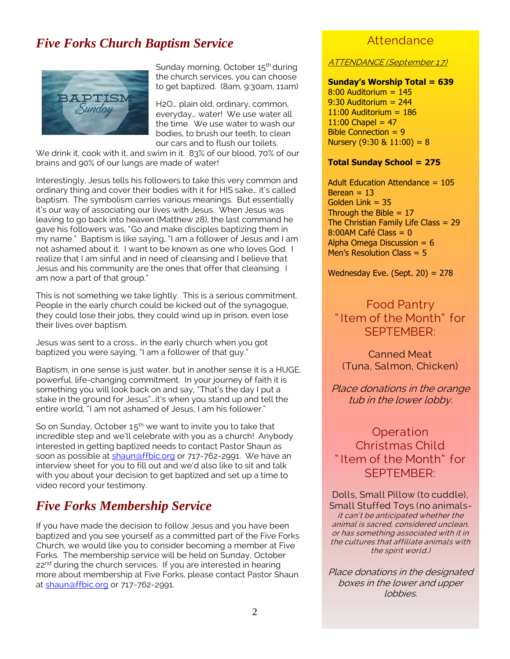## *Five Forks Church Baptism Service*



Sunday morning, October 15<sup>th</sup> during the church services, you can choose to get baptized. (8am, 9:30am, 11am)

H2O… plain old, ordinary, common, everyday… water! We use water all the time. We use water to wash our bodies, to brush our teeth, to clean our cars and to flush our toilets.

We drink it, cook with it, and swim in it. 83% of our blood, 70% of our brains and 90% of our lungs are made of water!

Interestingly, Jesus tells his followers to take this very common and ordinary thing and cover their bodies with it for HIS sake… it's called baptism. The symbolism carries various meanings. But essentially it's our way of associating our lives with Jesus. When Jesus was leaving to go back into heaven (Matthew 28), the last command he gave his followers was, "Go and make disciples baptizing them in my name." Baptism is like saying, "I am a follower of Jesus and I am not ashamed about it. I want to be known as one who loves God. I realize that I am sinful and in need of cleansing and I believe that Jesus and his community are the ones that offer that cleansing. I am now a part of that group."

This is not something we take lightly. This is a serious commitment. People in the early church could be kicked out of the synagogue, they could lose their jobs, they could wind up in prison, even lose their lives over baptism.

Jesus was sent to a cross… in the early church when you got baptized you were saying, "I am a follower of that guy."

Baptism, in one sense is just water, but in another sense it is a HUGE, powerful, life-changing commitment. In your journey of faith it is something you will look back on and say, "That's the day I put a stake in the ground for Jesus"…it's when you stand up and tell the entire world, "I am not ashamed of Jesus, I am his follower."

So on Sunday, October  $15<sup>th</sup>$  we want to invite you to take that incredible step and we'll celebrate with you as a church! Anybody interested in getting baptized needs to contact Pastor Shaun as soon as possible at [shaun@ffbic.org](mailto:shaun@ffbic.org) or 717-762-2991. We have an interview sheet for you to fill out and we'd also like to sit and talk with you about your decision to get baptized and set up a time to video record your testimony.

### *Five Forks Membership Service*

If you have made the decision to follow Jesus and you have been baptized and you see yourself as a committed part of the Five Forks Church, we would like you to consider becoming a member at Five Forks. The membership service will be held on Sunday, October 22<sup>nd</sup> during the church services. If you are interested in hearing more about membership at Five Forks, please contact Pastor Shaun a[t shaun@ffbic.org](mailto:shaun@ffbic.org) or 717-762-2991.

### **Attendance**

ATTENDANCE (September 17)

#### **Sunday's Worship Total = 639**

 $8:00$  Auditorium =  $145$  $9:30$  Auditorium = 244  $11:00$  Auditorium =  $186$ 11:00 Chapel =  $47$ Bible Connection  $= 9$ Nursery  $(9:30 \& 11:00) = 8$ 

#### **Total Sunday School = 275**

Adult Education Attendance = 105  $Berean = 13$ Golden Link  $= 35$ Through the Bible  $= 17$ The Christian Family Life Class = 29  $8:00$ AM Café Class =  $0$ Alpha Omega Discussion  $= 6$ Men's Resolution Class = 5

Wednesday Eve. (Sept.  $20$ ) =  $278$ 

### Food Pantry " Item of the Month" for SEPTEMBER:

Canned Meat (Tuna, Salmon, Chicken)

Place donations in the orange tub in the lower lobby.

Operation Christmas Child " Item of the Month" for SEPTEMBER:

Dolls, Small Pillow (to cuddle), Small Stuffed Toys (no animalsit can't be anticipated whether the animal is sacred, considered unclean, or has something associated with it in the cultures that affiliate animals with the spirit world.)

Place donations in the designated boxes in the lower and upper lobbies.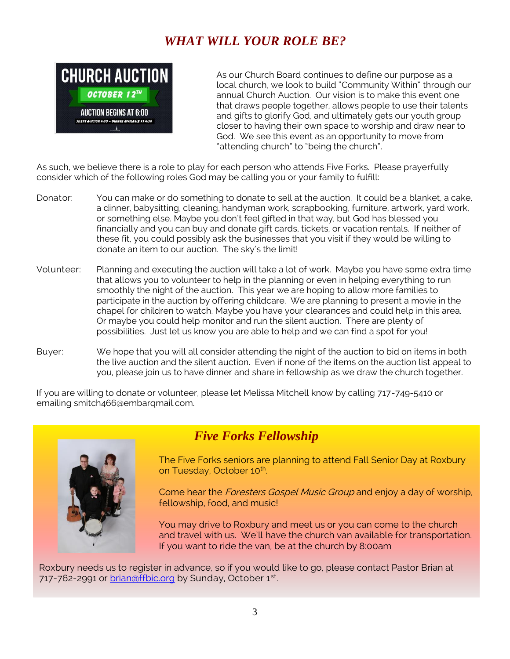## *WHAT WILL YOUR ROLE BE?*



As our Church Board continues to define our purpose as a local church, we look to build "Community Within" through our annual Church Auction. Our vision is to make this event one that draws people together, allows people to use their talents and gifts to glorify God, and ultimately gets our youth group closer to having their own space to worship and draw near to God. We see this event as an opportunity to move from "attending church" to "being the church".

As such, we believe there is a role to play for each person who attends Five Forks. Please prayerfully consider which of the following roles God may be calling you or your family to fulfill:

- Donator: You can make or do something to donate to sell at the auction. It could be a blanket, a cake, a dinner, babysitting, cleaning, handyman work, scrapbooking, furniture, artwork, yard work, or something else. Maybe you don't feel gifted in that way, but God has blessed you financially and you can buy and donate gift cards, tickets, or vacation rentals. If neither of these fit, you could possibly ask the businesses that you visit if they would be willing to donate an item to our auction. The sky's the limit!
- Volunteer: Planning and executing the auction will take a lot of work. Maybe you have some extra time that allows you to volunteer to help in the planning or even in helping everything to run smoothly the night of the auction. This year we are hoping to allow more families to participate in the auction by offering childcare. We are planning to present a movie in the chapel for children to watch. Maybe you have your clearances and could help in this area. Or maybe you could help monitor and run the silent auction. There are plenty of possibilities. Just let us know you are able to help and we can find a spot for you!
- Buyer: We hope that you will all consider attending the night of the auction to bid on items in both the live auction and the silent auction. Even if none of the items on the auction list appeal to you, please join us to have dinner and share in fellowship as we draw the church together.

If you are willing to donate or volunteer, please let Melissa Mitchell know by calling 717-749-5410 or emailing smitch466@embarqmail.com.



## *Five Forks Fellowship*

The Five Forks seniors are planning to attend Fall Senior Day at Roxbury on Tuesday, October 10<sup>th</sup>. .

Come hear the Foresters Gospel Music Group and enjoy a day of worship, fellowship, food, and music!

You may drive to Roxbury and meet us or you can come to the church and travel with us. We'll have the church van available for transportation. If you want to ride the van, be at the church by 8:00am

Roxbury needs us to register in advance, so if you would like to go, please contact Pastor Brian at 717-762-2991 or [brian@ffbic.org](mailto:brian@ffbic.org) by Sunday, October 1<sup>st</sup>. .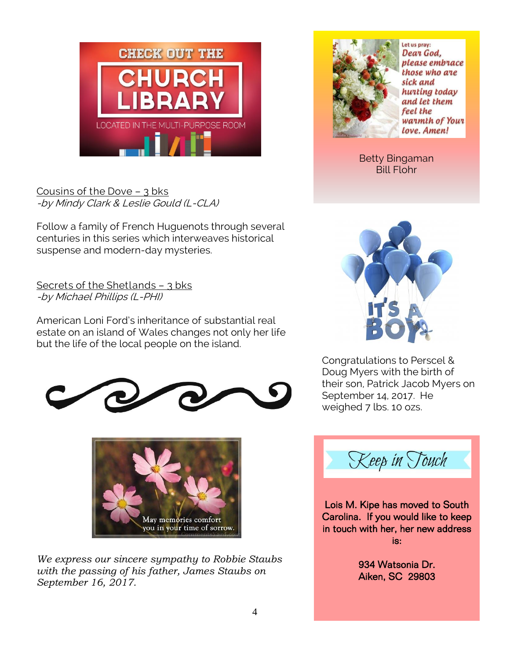

### Cousins of the Dove – 3 bks -by Mindy Clark & Leslie Gould (L-CLA)

Follow a family of French Huguenots through several centuries in this series which interweaves historical suspense and modern-day mysteries.

Secrets of the Shetlands – 3 bks -by Michael Phillips (L-PHI)

American Loni Ford's inheritance of substantial real estate on an island of Wales changes not only her life but the life of the local people on the island.





*We express our sincere sympathy to Robbie Staubs with the passing of his father, James Staubs on September 16, 2017.*



Let us pray: Dear God. please embrace those who are sick and hunting today and let them feel the warmth of Your Love. Amen!

Betty Bingaman Bill Flohr



Congratulations to Perscel & Doug Myers with the birth of their son, Patrick Jacob Myers on September 14, 2017. He weighed 7 lbs. 10 ozs.



í

Lois M. Kipe has moved to South Carolina. If you would like to keep in touch with her, her new address is:

> 934 Watsonia Dr. Aiken, SC 29803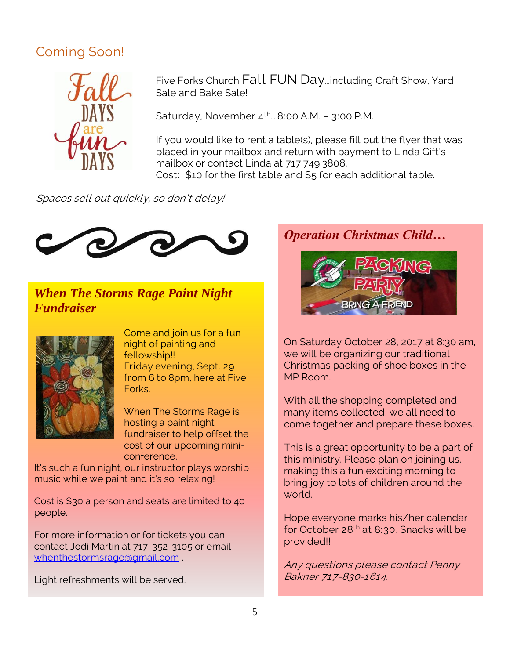## Coming Soon!



Five Forks Church Fall FUN Day…including Craft Show, Yard Sale and Bake Sale!

Saturday, November  $4^{th}$ . 8:00 A.M. – 3:00 P.M.

If you would like to rent a table(s), please fill out the flyer that was placed in your mailbox and return with payment to Linda Gift's mailbox or contact Linda at 717.749.3808.

Cost: \$10 for the first table and \$5 for each additional table.

Spaces sell out quickly, so don't delay!



## *When The Storms Rage Paint Night Fundraiser*



Come and join us for a fun night of painting and fellowship!! Friday evening, Sept. 29 from 6 to 8pm, here at Five Forks.

When The Storms Rage is hosting a paint night fundraiser to help offset the cost of our upcoming miniconference.

It's such a fun night, our instructor plays worship music while we paint and it's so relaxing!

Cost is \$30 a person and seats are limited to 40 people.

For more information or for tickets you can contact Jodi Martin at 717-352-3105 or email [whenthestormsrage@gmail.com](mailto:whenthestormsrage@gmail.com) .

Light refreshments will be served.

*Operation Christmas Child…*



On Saturday October 28, 2017 at 8:30 am, we will be organizing our traditional Christmas packing of shoe boxes in the MP Room.

With all the shopping completed and many items collected, we all need to come together and prepare these boxes.

This is a great opportunity to be a part of this ministry. Please plan on joining us, making this a fun exciting morning to bring joy to lots of children around the world.

Hope everyone marks his/her calendar for October 28<sup>th</sup> at 8:30. Snacks will be provided!!

Any questions please contact Penny Bakner 717-830-1614.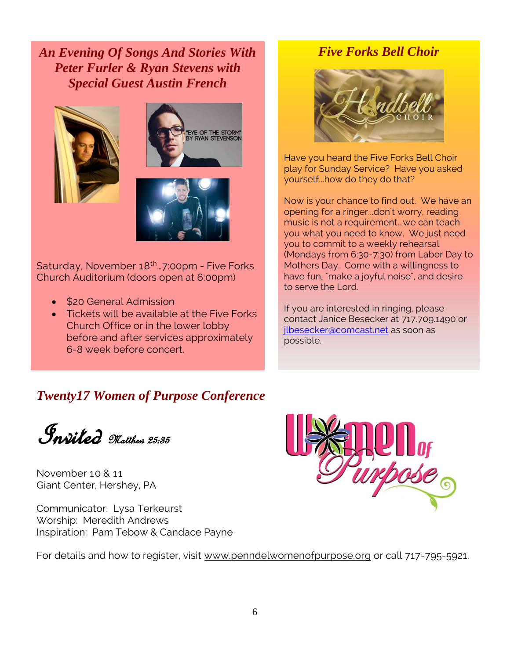*An Evening Of Songs And Stories With Peter Furler & Ryan Stevens with Special Guest Austin French*





Saturday, November 18th…7:00pm - Five Forks Church Auditorium (doors open at 6:00pm)

- \$20 General Admission
- Tickets will be available at the Five Forks Church Office or in the lower lobby before and after services approximately 6-8 week before concert.

### *Five Forks Bell Choir*



Have you heard the Five Forks Bell Choir play for Sunday Service? Have you asked yourself...how do they do that?

Now is your chance to find out. We have an opening for a ringer...don't worry, reading music is not a requirement...we can teach you what you need to know. We just need you to commit to a weekly rehearsal (Mondays from 6:30-7:30) from Labor Day to Mothers Day. Come with a willingness to have fun, "make a joyful noise", and desire to serve the Lord.

If you are interested in ringing, please contact Janice Besecker at 717.709.1490 or [jlbesecker@comcast.net](mailto:jlbesecker@comcast.net) as soon as possible.

## *Twenty17 Women of Purpose Conference*

**Pnsiled** Matthew 25:35

November 10 & 11 Giant Center, Hershey, PA

Communicator: Lysa Terkeurst Worship: Meredith Andrews Inspiration: Pam Tebow & Candace Payne



For details and how to register, visit [www.penndelwomenofpurpose.org](http://www.penndelwomenofpurpose.org/) or call 717-795-5921.